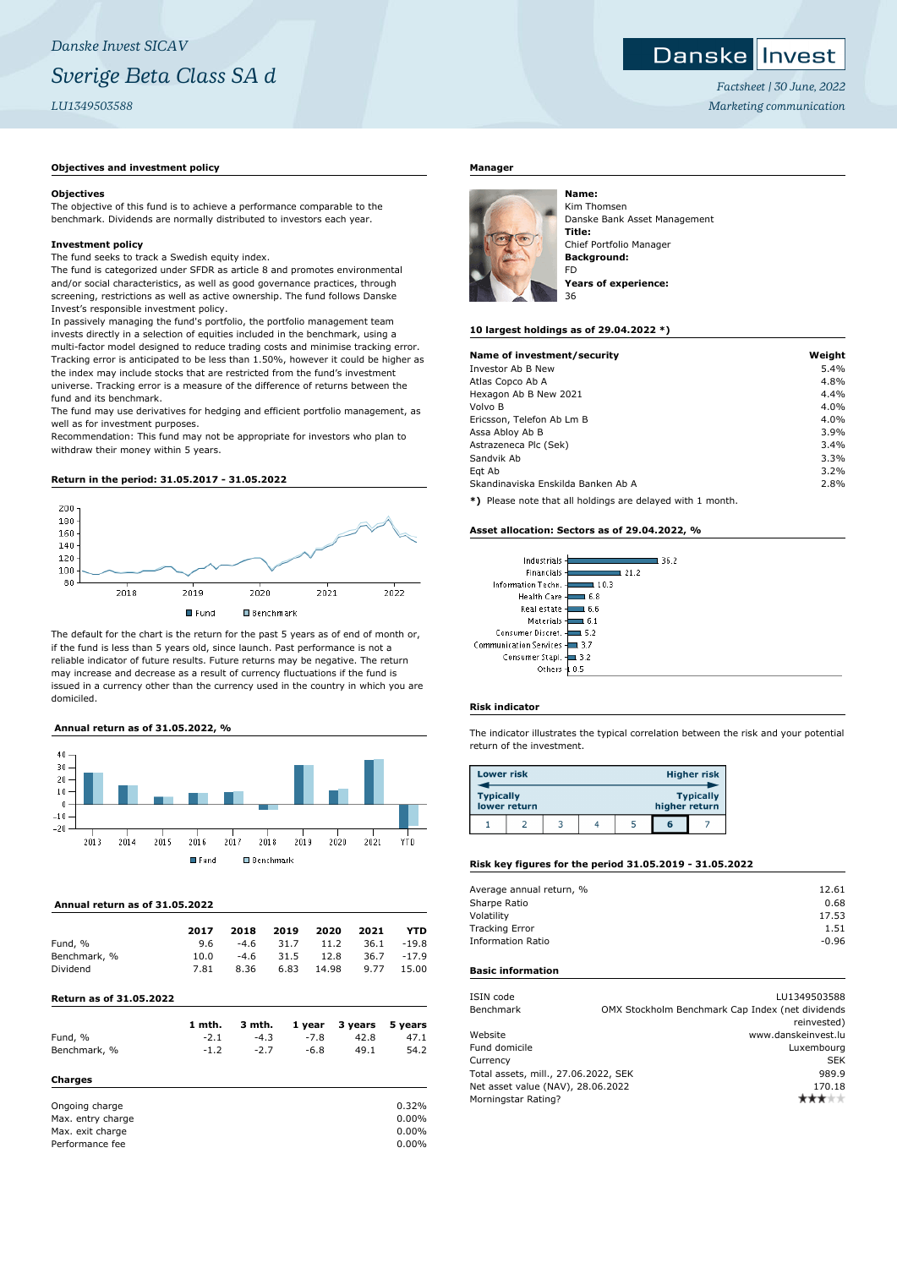# Danske Invest

*Factsheet | 30 June, 2022 Marketing communication*

#### **Objectives and investment policy**

#### **Objectives**

The objective of this fund is to achieve a performance comparable to the benchmark. Dividends are normally distributed to investors each year.

#### **Investment policy**

The fund seeks to track a Swedish equity index.

The fund is categorized under SFDR as article 8 and promotes environmental and/or social characteristics, as well as good governance practices, through screening, restrictions as well as active ownership. The fund follows Danske Invest's responsible investment policy.

In passively managing the fund's portfolio, the portfolio management team invests directly in a selection of equities included in the benchmark, using a multi-factor model designed to reduce trading costs and minimise tracking error. Tracking error is anticipated to be less than 1.50%, however it could be higher as the index may include stocks that are restricted from the fund's investment universe. Tracking error is a measure of the difference of returns between the fund and its benchmark.

The fund may use derivatives for hedging and efficient portfolio management, as well as for investment purposes.

Recommendation: This fund may not be appropriate for investors who plan to withdraw their money within 5 years.

#### **Return in the period: 31.05.2017 - 31.05.2022**



The default for the chart is the return for the past 5 years as of end of month or, if the fund is less than 5 years old, since launch. Past performance is not a reliable indicator of future results. Future returns may be negative. The return may increase and decrease as a result of currency fluctuations if the fund is issued in a currency other than the currency used in the country in which you are domiciled.

### **Annual return as of 31.05.2022, %**



#### **Annual return as of 31.05.2022**

|                                | 2017 | 2018   | 2019 | 2020  | 2021 | YTD     |
|--------------------------------|------|--------|------|-------|------|---------|
|                                |      |        |      |       |      |         |
| Fund, %                        | 9.6  | $-4.6$ | 31.7 | 11.2  | 36.1 | $-19.8$ |
| Benchmark, %                   | 10.0 | $-4.6$ | 31.5 | 12.8  | 36.7 | $-17.9$ |
| Dividend                       | 7.81 | 8.36   | 6.83 | 14.98 | 9.77 | 15.00   |
| <b>Return as of 31.05.2022</b> |      |        |      |       |      |         |

|              | 1 mth. | 3 mth. |        | 1 year 3 years 5 years |      |
|--------------|--------|--------|--------|------------------------|------|
| Fund, %      | $-2.1$ | $-4.3$ | $-7.8$ | 42.8                   | 47.1 |
| Benchmark, % | $-1.2$ | $-2.7$ | $-6.8$ | 49.1                   | 54.2 |
| Charges      |        |        |        |                        |      |

| Ongoing charge    | 0.32%    |
|-------------------|----------|
| Max, entry charge | $0.00\%$ |
| Max. exit charge  | $0.00\%$ |
| Performance fee   | $0.00\%$ |

#### **Manager**



Kim Thomsen Danske Bank Asset Management **Title:** Chief Portfolio Manager **Background:** FD **Years of experience:**

#### **10 largest holdings as of 29.04.2022 \*)**

| Name of investment/security        | Weight |
|------------------------------------|--------|
| Investor Ab B New                  | 5.4%   |
| Atlas Copco Ab A                   | 4.8%   |
| Hexagon Ab B New 2021              | 4.4%   |
| Volvo B                            | 4.0%   |
| Ericsson, Telefon Ab Lm B          | 4.0%   |
| Assa Abloy Ab B                    | 3.9%   |
| Astrazeneca Plc (Sek)              | 3.4%   |
| Sandvik Ab                         | 3.3%   |
| Egt Ab                             | 3.2%   |
| Skandinaviska Enskilda Banken Ab A | 2.8%   |
| $\cdots$                           |        |

**\*)** Please note that all holdings are delayed with 1 month.

#### **Asset allocation: Sectors as of 29.04.2022, %**

| Industrials              | 36.2               |
|--------------------------|--------------------|
| Financials               | 21.2               |
| Information Techn. -     | 10.3               |
| Health Care -            | 6.8                |
| Real estate -            | 6.6                |
| Materials-               | 61                 |
| Consumer Discret. 4      | -5.2               |
| Communication Services - | $\blacksquare$ 3.7 |
| Consumer Stapl. -        | 13.2               |
| Others                   | 0.5                |

#### **Risk indicator**

The indicator illustrates the typical correlation between the risk and your potential return of the investment.

| <b>Lower risk</b> |              |  |  |               | <b>Higher risk</b> |
|-------------------|--------------|--|--|---------------|--------------------|
| <b>Typically</b>  | lower return |  |  | higher return | <b>Typically</b>   |
|                   |              |  |  | G             |                    |

#### **Risk key figures for the period 31.05.2019 - 31.05.2022**

| Average annual return, % | 12.61   |
|--------------------------|---------|
| Sharpe Ratio             | 0.68    |
| Volatility               | 17.53   |
| <b>Tracking Error</b>    | 1.51    |
| <b>Information Ratio</b> | $-0.96$ |
|                          |         |

## **Basic information**

| ISIN code<br>Benchmark               | LU1349503588<br>OMX Stockholm Benchmark Cap Index (net dividends |
|--------------------------------------|------------------------------------------------------------------|
|                                      | reinvested)                                                      |
| Website                              | www.danskeinvest.lu                                              |
| Fund domicile                        | Luxembourg                                                       |
| Currency                             | <b>SEK</b>                                                       |
| Total assets, mill., 27.06.2022, SEK | 989.9                                                            |
| Net asset value (NAV), 28.06.2022    | 170.18                                                           |
| Morningstar Rating?                  |                                                                  |